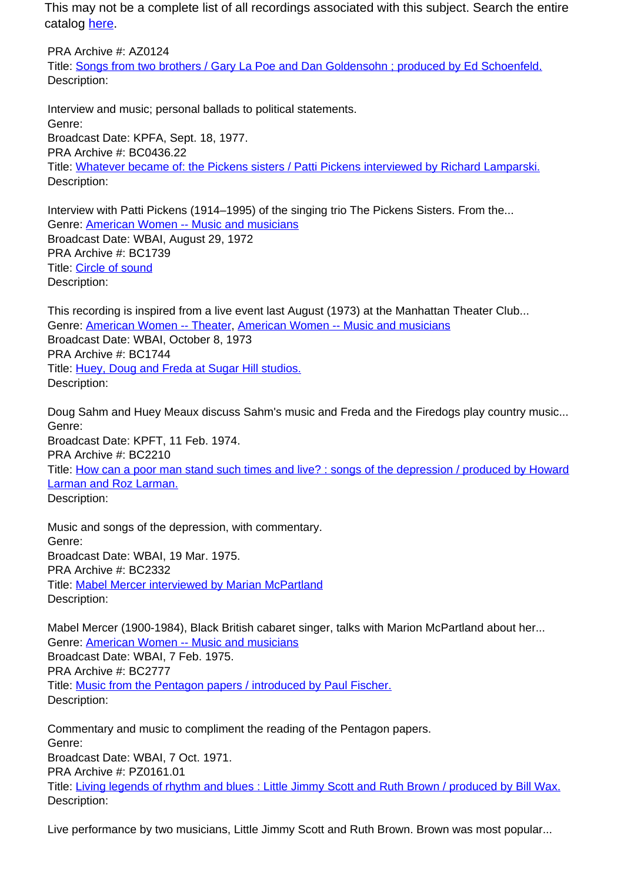This may not be a complete list of all recordings associated with this subject. Search the entire catalog [here.](http://pacificaradioarchives.org/keyword-search)

PRA Archive #: AZ0124 Title: Songs from two brothers / Gary La Poe and Dan Goldensohn ; produced by Ed Schoenfeld. Description:

Interview and music; personal ballads to political statements. Genre: Broadcast Date: KPFA, Sept. 18, 1977. PRA Archive #: BC0436.22 Title: Whatever became of: the Pickens sisters / Patti Pickens interviewed by Richard Lamparski. Description:

Interview with Patti Pickens (1914–1995) of the singing trio The Pickens Sisters. From the... Genre: American Women -- Music and musicians Broadcast Date: WBAI, August 29, 1972 PRA Archive #: BC1739 Title: Circle of sound Description:

This recording is inspired from a live event last August (1973) at the Manhattan Theater Club... Genre: American Women -- Theater, American Women -- Music and musicians Broadcast Date: WBAI, October 8, 1973 PRA Archive #: BC1744 Title: Huey, Doug and Freda at Sugar Hill studios. Description:

Doug Sahm and Huey Meaux discuss Sahm's music and Freda and the Firedogs play country music... Genre: Broadcast Date: KPFT, 11 Feb. 1974. PRA Archive #: BC2210 Title: How can a poor man stand such times and live? : songs of the depression / produced by Howard Larman and Roz Larman. Description:

Music and songs of the depression, with commentary. Genre: Broadcast Date: WBAI, 19 Mar. 1975. PRA Archive #: BC2332 Title: Mabel Mercer interviewed by Marian McPartland Description:

Mabel Mercer (1900-1984), Black British cabaret singer, talks with Marion McPartland about her... Genre: American Women -- Music and musicians Broadcast Date: WBAI, 7 Feb. 1975. PRA Archive #: BC2777 Title: Music from the Pentagon papers / introduced by Paul Fischer. Description:

Commentary and music to compliment the reading of the Pentagon papers. Genre: Broadcast Date: WBAI, 7 Oct. 1971. PRA Archive #: PZ0161.01 Title: Living legends of rhythm and blues : Little Jimmy Scott and Ruth Brown / produced by Bill Wax. Description:

Live performance by two musicians, Little Jimmy Scott and Ruth Brown. Brown was most popular...